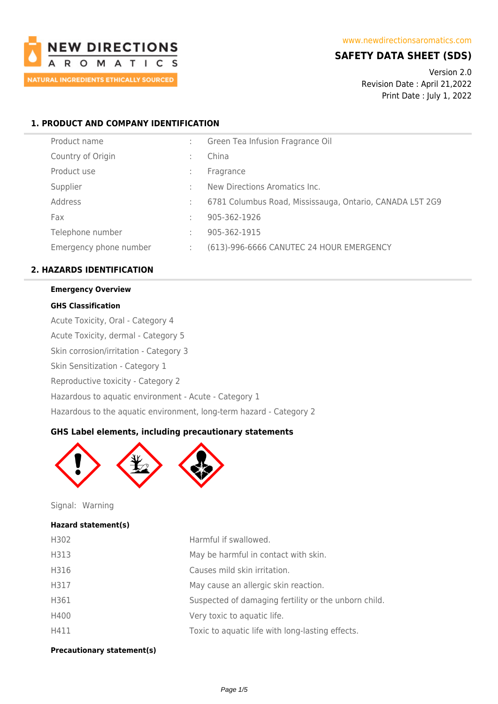

# **SAFETY DATA SHEET (SDS)**

Version 2.0 Revision Date : April 21,2022 Print Date : July 1, 2022

## **1. PRODUCT AND COMPANY IDENTIFICATION**

| Product name           |   | Green Tea Infusion Fragrance Oil                         |
|------------------------|---|----------------------------------------------------------|
| Country of Origin      | ÷ | China                                                    |
| Product use            | ÷ | Fragrance                                                |
| Supplier               | ÷ | New Directions Aromatics Inc.                            |
| Address                | ÷ | 6781 Columbus Road, Mississauga, Ontario, CANADA L5T 2G9 |
| Fax                    | ÷ | 905-362-1926                                             |
| Telephone number       | ÷ | 905-362-1915                                             |
| Emergency phone number | ÷ | (613)-996-6666 CANUTEC 24 HOUR EMERGENCY                 |
|                        |   |                                                          |

## **2. HAZARDS IDENTIFICATION**

# **Emergency Overview**

### **GHS Classification**

Acute Toxicity, Oral - Category 4

Acute Toxicity, dermal - Category 5

Skin corrosion/irritation - Category 3

Skin Sensitization - Category 1

Reproductive toxicity - Category 2

Hazardous to aquatic environment - Acute - Category 1

Hazardous to the aquatic environment, long-term hazard - Category 2

## **GHS Label elements, including precautionary statements**



Signal: Warning

### **Hazard statement(s)**

| H302 | Harmful if swallowed.                                |
|------|------------------------------------------------------|
| H313 | May be harmful in contact with skin.                 |
| H316 | Causes mild skin irritation.                         |
| H317 | May cause an allergic skin reaction.                 |
| H361 | Suspected of damaging fertility or the unborn child. |
| H400 | Very toxic to aquatic life.                          |
| H411 | Toxic to aquatic life with long-lasting effects.     |

### **Precautionary statement(s)**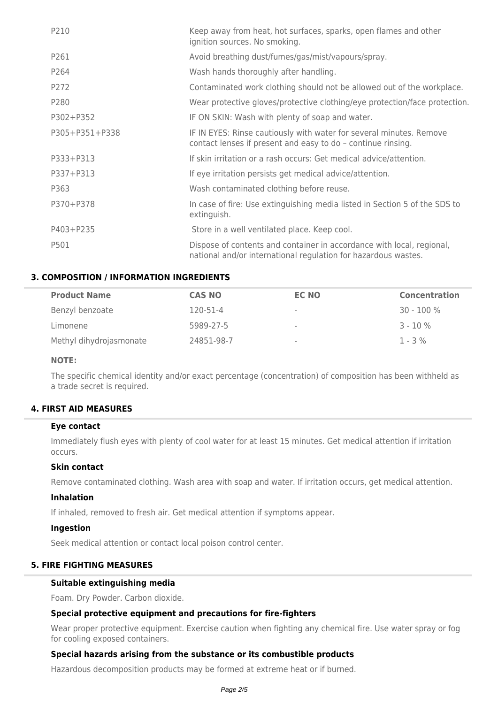| P210           | Keep away from heat, hot surfaces, sparks, open flames and other<br>ignition sources. No smoking.                                       |
|----------------|-----------------------------------------------------------------------------------------------------------------------------------------|
| P261           | Avoid breathing dust/fumes/gas/mist/vapours/spray.                                                                                      |
| P264           | Wash hands thoroughly after handling.                                                                                                   |
| P272           | Contaminated work clothing should not be allowed out of the workplace.                                                                  |
| P280           | Wear protective gloves/protective clothing/eye protection/face protection.                                                              |
| P302+P352      | IF ON SKIN: Wash with plenty of soap and water.                                                                                         |
| P305+P351+P338 | IF IN EYES: Rinse cautiously with water for several minutes. Remove<br>contact lenses if present and easy to do - continue rinsing.     |
| P333+P313      | If skin irritation or a rash occurs: Get medical advice/attention.                                                                      |
| P337+P313      | If eye irritation persists get medical advice/attention.                                                                                |
| P363           | Wash contaminated clothing before reuse.                                                                                                |
| P370+P378      | In case of fire: Use extinguishing media listed in Section 5 of the SDS to<br>extinguish.                                               |
| P403+P235      | Store in a well ventilated place. Keep cool.                                                                                            |
| P501           | Dispose of contents and container in accordance with local, regional,<br>national and/or international regulation for hazardous wastes. |

## **3. COMPOSITION / INFORMATION INGREDIENTS**

| <b>Product Name</b>     | <b>CAS NO</b> | <b>EC NO</b> | <b>Concentration</b> |
|-------------------------|---------------|--------------|----------------------|
| Benzyl benzoate         | 120-51-4      | $\sim$       | $30 - 100 \%$        |
| Limonene                | 5989-27-5     | $\sim$       | $3 - 10%$            |
| Methyl dihydrojasmonate | 24851-98-7    | $\,$         | $1 - 3\%$            |

### **NOTE:**

The specific chemical identity and/or exact percentage (concentration) of composition has been withheld as a trade secret is required.

### **4. FIRST AID MEASURES**

#### **Eye contact**

Immediately flush eyes with plenty of cool water for at least 15 minutes. Get medical attention if irritation occurs.

### **Skin contact**

Remove contaminated clothing. Wash area with soap and water. If irritation occurs, get medical attention.

#### **Inhalation**

If inhaled, removed to fresh air. Get medical attention if symptoms appear.

#### **Ingestion**

Seek medical attention or contact local poison control center.

### **5. FIRE FIGHTING MEASURES**

## **Suitable extinguishing media**

Foam. Dry Powder. Carbon dioxide.

### **Special protective equipment and precautions for fire-fighters**

Wear proper protective equipment. Exercise caution when fighting any chemical fire. Use water spray or fog for cooling exposed containers.

### **Special hazards arising from the substance or its combustible products**

Hazardous decomposition products may be formed at extreme heat or if burned.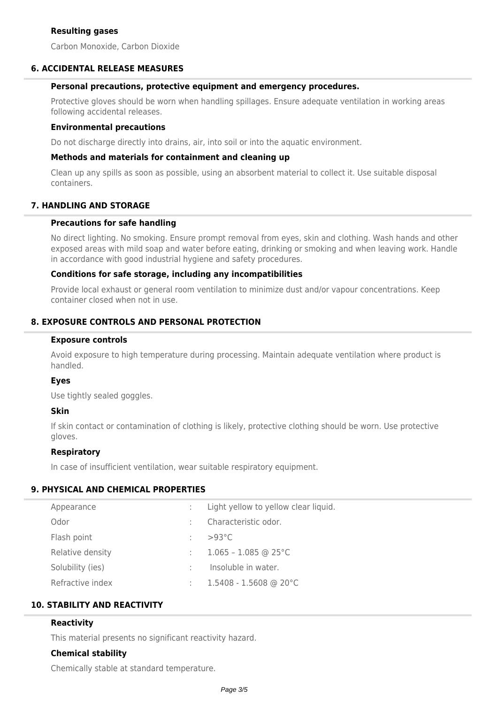Carbon Monoxide, Carbon Dioxide

### **6. ACCIDENTAL RELEASE MEASURES**

### **Personal precautions, protective equipment and emergency procedures.**

Protective gloves should be worn when handling spillages. Ensure adequate ventilation in working areas following accidental releases.

### **Environmental precautions**

Do not discharge directly into drains, air, into soil or into the aquatic environment.

### **Methods and materials for containment and cleaning up**

Clean up any spills as soon as possible, using an absorbent material to collect it. Use suitable disposal containers.

### **7. HANDLING AND STORAGE**

### **Precautions for safe handling**

No direct lighting. No smoking. Ensure prompt removal from eyes, skin and clothing. Wash hands and other exposed areas with mild soap and water before eating, drinking or smoking and when leaving work. Handle in accordance with good industrial hygiene and safety procedures.

### **Conditions for safe storage, including any incompatibilities**

Provide local exhaust or general room ventilation to minimize dust and/or vapour concentrations. Keep container closed when not in use.

## **8. EXPOSURE CONTROLS AND PERSONAL PROTECTION**

#### **Exposure controls**

Avoid exposure to high temperature during processing. Maintain adequate ventilation where product is handled.

#### **Eyes**

Use tightly sealed goggles.

#### **Skin**

If skin contact or contamination of clothing is likely, protective clothing should be worn. Use protective gloves.

### **Respiratory**

In case of insufficient ventilation, wear suitable respiratory equipment.

## **9. PHYSICAL AND CHEMICAL PROPERTIES**

| Appearance       |   | Light yellow to yellow clear liquid. |
|------------------|---|--------------------------------------|
| Odor             |   | Characteristic odor.                 |
| Flash point      |   | $>93^{\circ}$ C                      |
| Relative density |   | $1.065 - 1.085$ @ 25°C               |
| Solubility (ies) | ÷ | Insoluble in water.                  |
| Refractive index |   | $1.5408 - 1.5608$ @ 20°C             |

## **10. STABILITY AND REACTIVITY**

### **Reactivity**

This material presents no significant reactivity hazard.

### **Chemical stability**

Chemically stable at standard temperature.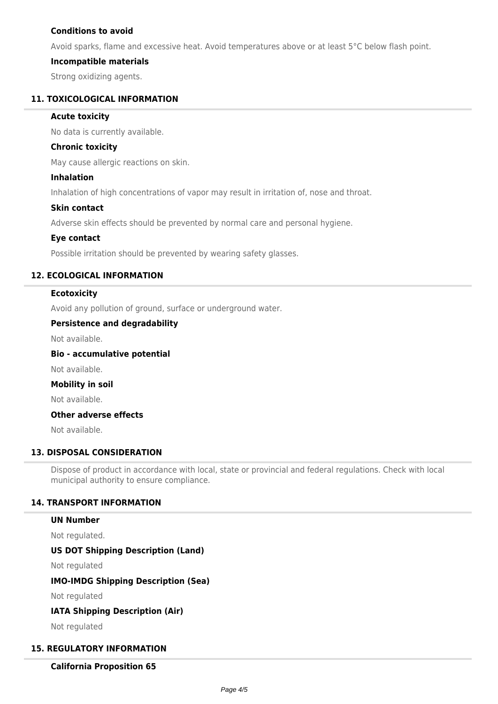## **Conditions to avoid**

Avoid sparks, flame and excessive heat. Avoid temperatures above or at least 5°C below flash point.

### **Incompatible materials**

Strong oxidizing agents.

### **11. TOXICOLOGICAL INFORMATION**

### **Acute toxicity**

No data is currently available.

### **Chronic toxicity**

May cause allergic reactions on skin.

### **Inhalation**

Inhalation of high concentrations of vapor may result in irritation of, nose and throat.

### **Skin contact**

Adverse skin effects should be prevented by normal care and personal hygiene.

### **Eye contact**

Possible irritation should be prevented by wearing safety glasses.

### **12. ECOLOGICAL INFORMATION**

### **Ecotoxicity**

Avoid any pollution of ground, surface or underground water.

### **Persistence and degradability**

Not available.

## **Bio - accumulative potential**

Not available.

## **Mobility in soil**

Not available.

### **Other adverse effects**

Not available.

#### **13. DISPOSAL CONSIDERATION**

Dispose of product in accordance with local, state or provincial and federal regulations. Check with local municipal authority to ensure compliance.

### **14. TRANSPORT INFORMATION**

## **UN Number**

Not regulated.

## **US DOT Shipping Description (Land)**

Not regulated

## **IMO-IMDG Shipping Description (Sea)**

Not regulated

## **IATA Shipping Description (Air)**

Not regulated

## **15. REGULATORY INFORMATION**

**California Proposition 65**